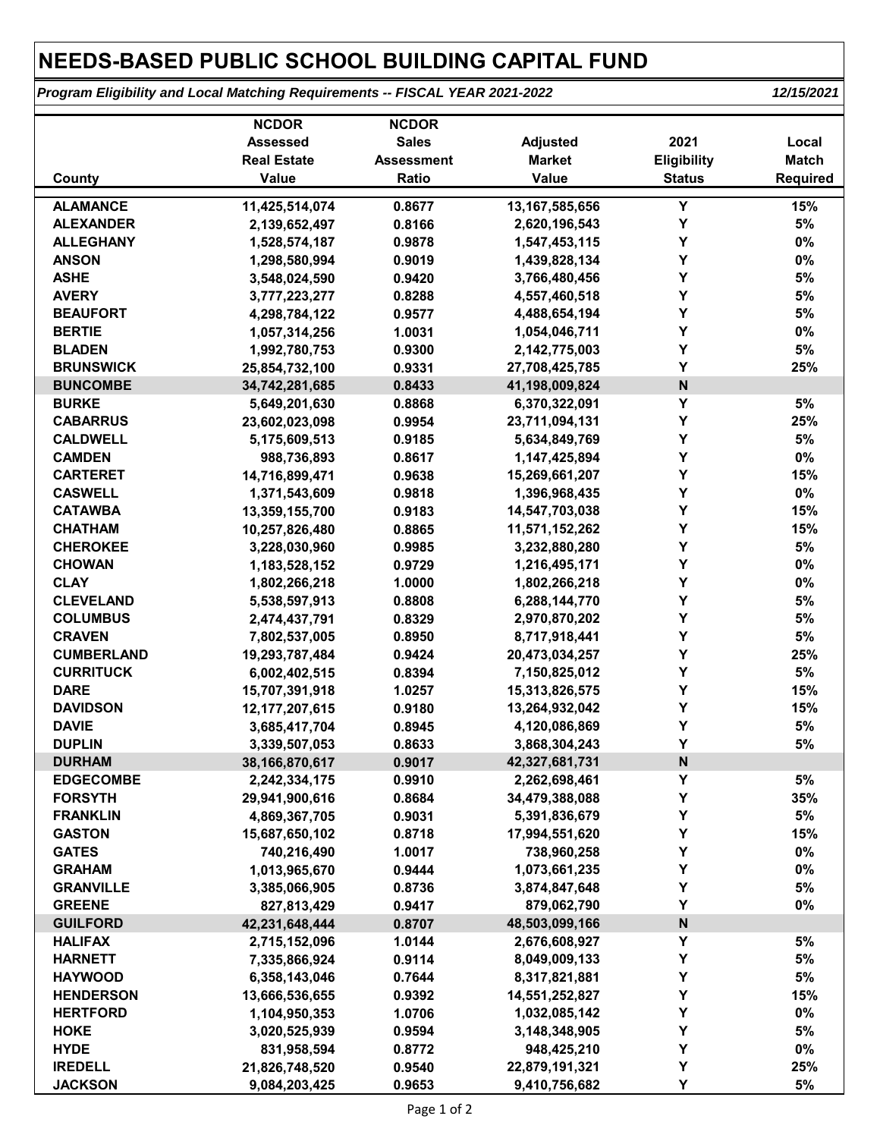## **NEEDS-BASED PUBLIC SCHOOL BUILDING CAPITAL FUND**

*Program Eligibility and Local Matching Requirements -- FISCAL YEAR 2021-2022 12/15/2021*

|                   | <b>NCDOR</b>       | <b>NCDOR</b>      |                   |               |                 |
|-------------------|--------------------|-------------------|-------------------|---------------|-----------------|
|                   | <b>Assessed</b>    | <b>Sales</b>      | <b>Adjusted</b>   | 2021          | Local           |
|                   | <b>Real Estate</b> | <b>Assessment</b> | <b>Market</b>     | Eligibility   | <b>Match</b>    |
| County            | <b>Value</b>       | Ratio             | Value             | <b>Status</b> | <b>Required</b> |
|                   |                    |                   |                   |               |                 |
| <b>ALAMANCE</b>   | 11,425,514,074     | 0.8677            | 13, 167, 585, 656 | Y             | 15%             |
| <b>ALEXANDER</b>  | 2,139,652,497      | 0.8166            | 2,620,196,543     | Y             | 5%              |
| <b>ALLEGHANY</b>  | 1,528,574,187      | 0.9878            | 1,547,453,115     | Y             | $0\%$           |
| <b>ANSON</b>      | 1,298,580,994      | 0.9019            | 1,439,828,134     | Y             | $0\%$           |
| <b>ASHE</b>       | 3,548,024,590      | 0.9420            | 3,766,480,456     | Y             | $5\%$           |
| <b>AVERY</b>      | 3,777,223,277      | 0.8288            | 4,557,460,518     | Y             | $5\%$           |
| <b>BEAUFORT</b>   | 4,298,784,122      | 0.9577            | 4,488,654,194     | Y             | $5\%$           |
| <b>BERTIE</b>     | 1,057,314,256      | 1.0031            | 1,054,046,711     | Y             | $0\%$           |
| <b>BLADEN</b>     | 1,992,780,753      | 0.9300            | 2,142,775,003     | Y             | 5%              |
| <b>BRUNSWICK</b>  | 25,854,732,100     | 0.9331            | 27,708,425,785    | Y             | 25%             |
| <b>BUNCOMBE</b>   | 34,742,281,685     | 0.8433            | 41,198,009,824    | $\mathsf{N}$  |                 |
| <b>BURKE</b>      | 5,649,201,630      | 0.8868            | 6,370,322,091     | Y             | $5\%$           |
| <b>CABARRUS</b>   | 23,602,023,098     | 0.9954            | 23,711,094,131    | Y             | 25%             |
| <b>CALDWELL</b>   | 5,175,609,513      | 0.9185            | 5,634,849,769     | Y             | 5%              |
| <b>CAMDEN</b>     | 988,736,893        | 0.8617            | 1,147,425,894     | Y             | $0\%$           |
| <b>CARTERET</b>   | 14,716,899,471     | 0.9638            | 15,269,661,207    | Y             | 15%             |
| <b>CASWELL</b>    | 1,371,543,609      | 0.9818            | 1,396,968,435     | Y             | $0\%$           |
| <b>CATAWBA</b>    | 13,359,155,700     | 0.9183            | 14,547,703,038    | Y             | 15%             |
| <b>CHATHAM</b>    | 10,257,826,480     | 0.8865            | 11,571,152,262    | Y             | 15%             |
| <b>CHEROKEE</b>   | 3,228,030,960      | 0.9985            | 3,232,880,280     | Y             | 5%              |
| <b>CHOWAN</b>     | 1,183,528,152      | 0.9729            | 1,216,495,171     | Y             | $0\%$           |
| <b>CLAY</b>       | 1,802,266,218      | 1.0000            | 1,802,266,218     | Y             | $0\%$           |
| <b>CLEVELAND</b>  | 5,538,597,913      | 0.8808            | 6,288,144,770     | Y             | $5\%$           |
| <b>COLUMBUS</b>   | 2,474,437,791      | 0.8329            | 2,970,870,202     | Y             | $5\%$           |
| <b>CRAVEN</b>     | 7,802,537,005      | 0.8950            | 8,717,918,441     | Y             | $5\%$           |
| <b>CUMBERLAND</b> | 19,293,787,484     | 0.9424            | 20,473,034,257    | Y             | 25%             |
| <b>CURRITUCK</b>  | 6,002,402,515      | 0.8394            | 7,150,825,012     | Y             | 5%              |
| <b>DARE</b>       | 15,707,391,918     | 1.0257            | 15,313,826,575    | Y             | 15%             |
| <b>DAVIDSON</b>   | 12,177,207,615     | 0.9180            | 13,264,932,042    | Y             | 15%             |
| <b>DAVIE</b>      | 3,685,417,704      | 0.8945            | 4,120,086,869     | Y             | $5\%$           |
| <b>DUPLIN</b>     | 3,339,507,053      | 0.8633            | 3,868,304,243     | Y             | $5\%$           |
| <b>DURHAM</b>     | 38, 166, 870, 617  | 0.9017            | 42,327,681,731    | N             |                 |
| <b>EDGECOMBE</b>  | 2,242,334,175      | 0.9910            | 2,262,698,461     | Y             | 5%              |
| <b>FORSYTH</b>    | 29,941,900,616     | 0.8684            | 34,479,388,088    | Y             | 35%             |
| <b>FRANKLIN</b>   | 4,869,367,705      | 0.9031            | 5,391,836,679     | Y             | 5%              |
| <b>GASTON</b>     | 15,687,650,102     | 0.8718            | 17,994,551,620    | Y             | 15%             |
| <b>GATES</b>      | 740,216,490        | 1.0017            | 738,960,258       | Y             | $0\%$           |
| <b>GRAHAM</b>     | 1,013,965,670      | 0.9444            | 1,073,661,235     | Y             | $0\%$           |
| <b>GRANVILLE</b>  | 3,385,066,905      | 0.8736            | 3,874,847,648     | Y             | $5\%$           |
| <b>GREENE</b>     | 827,813,429        | 0.9417            | 879,062,790       | Y             | $0\%$           |
| <b>GUILFORD</b>   | 42,231,648,444     | 0.8707            | 48,503,099,166    | $\mathsf{N}$  |                 |
| <b>HALIFAX</b>    | 2,715,152,096      | 1.0144            | 2,676,608,927     | Y             | $5%$            |
| <b>HARNETT</b>    | 7,335,866,924      | 0.9114            | 8,049,009,133     | Y             | $5\%$           |
| <b>HAYWOOD</b>    | 6,358,143,046      | 0.7644            | 8,317,821,881     | Y             | $5\%$           |
| <b>HENDERSON</b>  | 13,666,536,655     | 0.9392            | 14,551,252,827    | Y             | 15%             |
| <b>HERTFORD</b>   | 1,104,950,353      | 1.0706            | 1,032,085,142     | Y             | $0\%$           |
| <b>HOKE</b>       | 3,020,525,939      | 0.9594            | 3,148,348,905     | Y             | $5\%$           |
| <b>HYDE</b>       | 831,958,594        | 0.8772            | 948,425,210       | Y             | $0\%$           |
| <b>IREDELL</b>    | 21,826,748,520     | 0.9540            | 22,879,191,321    | Y             | 25%             |
| <b>JACKSON</b>    | 9,084,203,425      | 0.9653            | 9,410,756,682     | Y             | $5\%$           |
|                   |                    |                   |                   |               |                 |